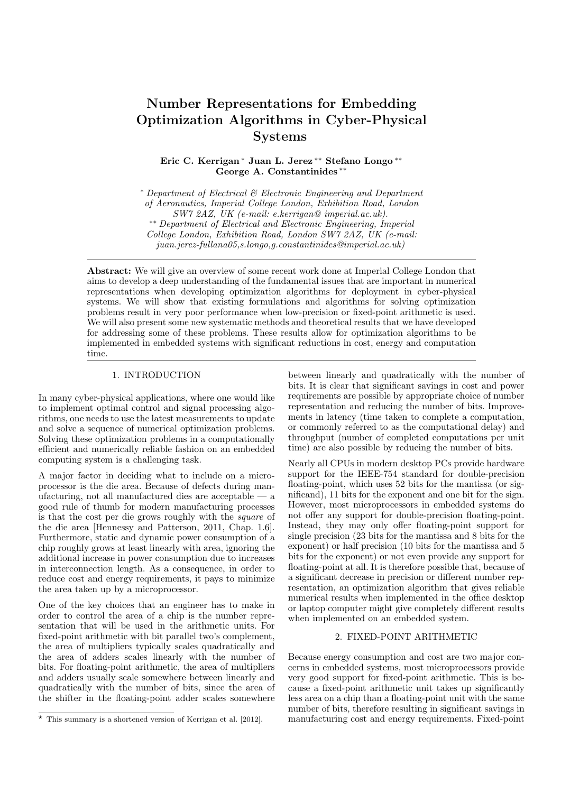# Number Representations for Embedding Optimization Algorithms in Cyber-Physical Systems

Eric C. Kerrigan <sup>∗</sup> Juan L. Jerez ∗∗ Stefano Longo ∗∗ George A. Constantinides ∗∗

<sup>∗</sup> Department of Electrical & Electronic Engineering and Department of Aeronautics, Imperial College London, Exhibition Road, London SW7 2AZ, UK (e-mail: e.kerrigan@ imperial.ac.uk). ∗∗ Department of Electrical and Electronic Engineering, Imperial College London, Exhibition Road, London SW7 2AZ, UK (e-mail:  $juan. jerez-fullana05, s. longo. q. constant inides@imperial.ac.uk)$ 

Abstract: We will give an overview of some recent work done at Imperial College London that aims to develop a deep understanding of the fundamental issues that are important in numerical representations when developing optimization algorithms for deployment in cyber-physical systems. We will show that existing formulations and algorithms for solving optimization problems result in very poor performance when low-precision or fixed-point arithmetic is used. We will also present some new systematic methods and theoretical results that we have developed for addressing some of these problems. These results allow for optimization algorithms to be implemented in embedded systems with significant reductions in cost, energy and computation time.

## 1. INTRODUCTION

In many cyber-physical applications, where one would like to implement optimal control and signal processing algorithms, one needs to use the latest measurements to update and solve a sequence of numerical optimization problems. Solving these optimization problems in a computationally efficient and numerically reliable fashion on an embedded computing system is a challenging task.

A major factor in deciding what to include on a microprocessor is the die area. Because of defects during manufacturing, not all manufactured dies are acceptable — a good rule of thumb for modern manufacturing processes is that the cost per die grows roughly with the square of the die area [Hennessy and Patterson, 2011, Chap. 1.6]. Furthermore, static and dynamic power consumption of a chip roughly grows at least linearly with area, ignoring the additional increase in power consumption due to increases in interconnection length. As a consequence, in order to reduce cost and energy requirements, it pays to minimize the area taken up by a microprocessor.

One of the key choices that an engineer has to make in order to control the area of a chip is the number representation that will be used in the arithmetic units. For fixed-point arithmetic with bit parallel two's complement, the area of multipliers typically scales quadratically and the area of adders scales linearly with the number of bits. For floating-point arithmetic, the area of multipliers and adders usually scale somewhere between linearly and quadratically with the number of bits, since the area of the shifter in the floating-point adder scales somewhere

between linearly and quadratically with the number of bits. It is clear that significant savings in cost and power requirements are possible by appropriate choice of number representation and reducing the number of bits. Improvements in latency (time taken to complete a computation, or commonly referred to as the computational delay) and throughput (number of completed computations per unit time) are also possible by reducing the number of bits.

Nearly all CPUs in modern desktop PCs provide hardware support for the IEEE-754 standard for double-precision floating-point, which uses 52 bits for the mantissa (or significand), 11 bits for the exponent and one bit for the sign. However, most microprocessors in embedded systems do not offer any support for double-precision floating-point. Instead, they may only offer floating-point support for single precision (23 bits for the mantissa and 8 bits for the exponent) or half precision (10 bits for the mantissa and 5 bits for the exponent) or not even provide any support for floating-point at all. It is therefore possible that, because of a significant decrease in precision or different number representation, an optimization algorithm that gives reliable numerical results when implemented in the office desktop or laptop computer might give completely different results when implemented on an embedded system.

#### 2. FIXED-POINT ARITHMETIC

Because energy consumption and cost are two major concerns in embedded systems, most microprocessors provide very good support for fixed-point arithmetic. This is because a fixed-point arithmetic unit takes up significantly less area on a chip than a floating-point unit with the same number of bits, therefore resulting in significant savings in manufacturing cost and energy requirements. Fixed-point

 $*$  This summary is a shortened version of Kerrigan et al. [2012].